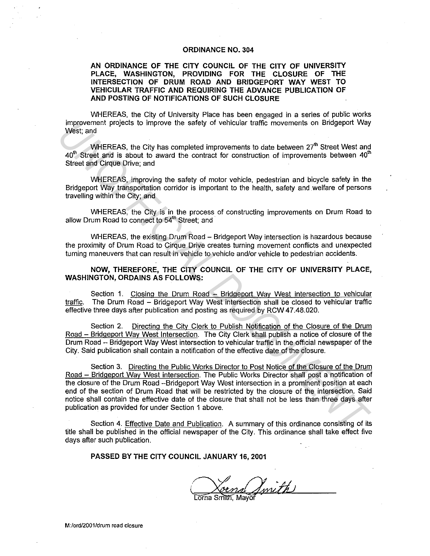## **ORDINANCE NO. 304**

## **AN ORDINANCE OF THE CITY COUNCIL OF THE CITY OF UNIVERSITY PLACE, WASHINGTON, PROVIDING FOR THE CLOSURE OF THE INTERSECTION OF DRUM ROAD AND BRIDGEPORT WAY WEST TO VEHICULAR TRAFFIC AND REQUIRING THE ADVANCE PUBLICATION OF AND POSTING OF NOTIFICATIONS OF SUCH CLOSURE**

WHEREAS, the City of University Place has been engaged in a series of public works improvement projects to improve the safety of vehicular traffic movements on Bridgeport Way West; and

WHEREAS, the City has completed improvements to date between 27<sup>th</sup> Street West and  $40<sup>th</sup>$  Street and is about to award the contract for construction of improvements between  $40<sup>th</sup>$ Street and Cirque Drive; and

WHEREAS, improving the safety of motor vehicle, pedestrian and bicycle safety in the Bridgeport Way transportation corridor is important to the health, safety and welfare of persons travelling within the City; and

WHEREAS, the City is in the process of constructing improvements on Drum Road to allow Drum Road to connect to 54<sup>th</sup> Street; and

WHEREAS, the existing Drum Road - Bridgeport Way intersection is hazardous because the proximity of Drum Road to Cirque Drive creates turning movement conflicts and unexpected turning maneuvers that can result in vehicle to vehicle and/or vehicle to pedestrian accidents.

**NOW, THEREFORE, THE CITY COUNCIL OF THE CITY OF UNIVERSITY PLACE, WASHINGTON, ORDAINS AS FOLLOWS:** 

Section 1. Closing the Drum Road - Bridgeport Way West intersection to vehicular traffic. The Drum Road - Bridgeport Way West intersection shall be closed to vehicular traffic effective three days after publication and posting as required by RCW 47.48.020.

Section 2. Directing the City Clerk to Publish Notification of the Closure of the Drum Road - Bridgeport Way West Intersection. The City Clerk shall publish a notice of closure of the Drum Road - Bridgeport Way West intersection to vehicular traffic in the official newspaper of the City. Said publication shall contain a notification of the effective date of the closure.

Section 3. Directing the Public Works Director to Post Notice of the Closure of the Drum Road - Bridgeport Way West intersection. The Public Works Director shall post a notification of the closure of the Drum Road -Bridgeport Way West intersection in a prominent position at each end of the section of Drum Road that will be restricted by the closure of the intersection. Said notice shall contain the effective date of the closure that shall not be less than three days after publication as provided for under Section 1 above. **Example the same of the same of the same of the same of the same of the same of the same of the same of the same of the same of the same of the same of the same of the same of the same of the same of the same of the same** 

Section 4. Effective Date and Publication. A summary of this ordinance consisting of its title shall be published in the official newspaper of the City. This ordinance shall take effect five days after such publication.

**PASSED BY THE CITY COUNCIL JANUARY 16, 2001** 

Swith